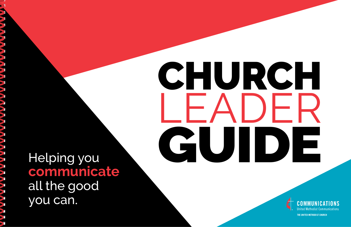# CHURCH LEADER GUIDE

### Helping you **communicate** all the good you can.

THE REPORT OF PERSON NEWS

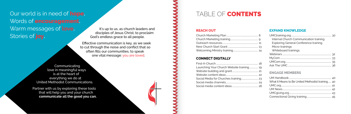## <span id="page-1-0"></span>Our world is in need of **hope.** Words of **encouragement.** Warm messages of **love.** Stories of **joy.**

#### **REACH OUT**

#### **CONNECT DIGITALLY**

| Launching Your Church Website training 19 |  |
|-------------------------------------------|--|
|                                           |  |
|                                           |  |
|                                           |  |
|                                           |  |
|                                           |  |



#### **EXPAND KNOWLEDGE**

| 8        |                                                  |  |
|----------|--------------------------------------------------|--|
| 9        | Internal Church Communication training           |  |
| 11       | <b>Exploring General Conference training</b>     |  |
| 13       | Micro-trainings                                  |  |
| 14       | Whiteboard trainings                             |  |
|          |                                                  |  |
|          |                                                  |  |
| 18       |                                                  |  |
| 19       |                                                  |  |
| 21<br>22 | <b>ENGAGE MEMBERS</b>                            |  |
| 23       |                                                  |  |
| 24       | What It Means to Be United Methodist training 40 |  |
| 26       |                                                  |  |
|          |                                                  |  |
|          |                                                  |  |
|          |                                                  |  |

It's up to us, as church leaders and disciples of Jesus Christ, to proclaim God's endless grace to all people.

Effective communication is key, as we seek to cut through the noise and conflict that so often fills our communities, to speak one vital message: you are loved.

Communicating love in meaningful ways is at the heart of everything we do at United Methodist Communications.

Partner with us by exploring these tools that will help you and your church **communicate all the good you can.**

#### TABLE OF **CONTENTS**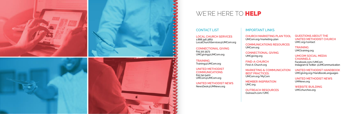







#### WE'RE HERE TO **HELP**

#### CONTACT LIST

**LOCAL CHURCH SERVICES** 1.888.346.3862 [LocalChurchServices@UMCom.org](mailto:LocalChurchServices%40UMCom.org%20?subject=) 

#### **CONNECTIONAL GIVING**

615.312.3573 [UMCgiving@UMCom.org](mailto:UMCgiving%40UMCom.org?subject=)

**TRAINING** [Training@UMCom.org](mailto:Training%40UMCom.org?subject=)

**UNITED METHODIST COMMUNICATIONS**  615.742.5400 [UMCom@UMCom.org](mailto:UMCom%40UMCom.org?subject=)

**UNITED METHODIST NEWS** [NewsDesk@UMNews.org](mailto:NewsDesk%40UMNews.org?subject=)

#### IMPORTANT LINKS

**CHURCH MARKETING PLAN TOOL** [UMCom.org/marketing-plan](http://UMCom.org/marketing-plan)

**COMMUNICATIONS RESOURCES**

[UMCom.org](http://www.umcom.org/)

**CONNECTIONAL GIVING**

[UMCgiving.org](http://www.UMCgiving.org)

**FIND-A-CHURCH** [Find-A-Church.org](http://Find-A-Church.org)

**MARKETING & COMMUNICATION**  [UMCom.org/MyCom](http://UMCom.org/MyCom)

**BEST PRACTICES:** 

**MEMBER INSPIRATION**

[UMC.org](http://UMC.org)

**OUTREACH RESOURCES**

[Outreach.com/UMC](http://Outreach.com/UMC)



**QUESTIONS ABOUT THE UNITED METHODIST CHURCH**  [UMC.org/contact](http://www.umc.org/contact)

**TRAINING** [UMCtraining.org](http://UMCtraining.org)

#### **UMCOM SOCIAL MEDIA CHANNELS**

[Facebook.com/UMCom](https://www.facebook.com/umcom/) [Instagram](https://www.instagram.com/umcommunication/?hl=en) & [Twitter:](https://twitter.com/umcommunication?lang=en) @UMCommunication

#### **UNITED METHODIST HANDBOOK**

[UMCgiving.org/HandbookLanguages](http://www.umcgiving.org/resource-articles/2017-2020-united-methodist-handbook-versions)

#### **UNITED METHODIST NEWS** [UMNews.org](https://www.umnews.org/)

**WEBSITE BUILDING** [UMCchurches.org](http://www.UMCchurches.org/)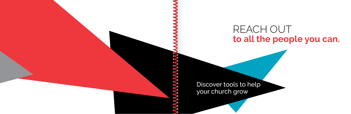# REACH OUT **to all the people you can.**

Discover tools to help your church grow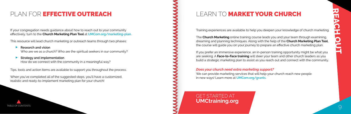Training experiences are available to help you deepen your knowledge of church marketing.

The **[Church Marketing](https://www.umctraining.org/product?catalog=Church-Marketing)** online training course leads you and your team through examining, dreaming and planning techniques. Along with the help of the **[Church Marketing Plan Tool](http://www.umcom.org/learn/market-your-church)**, the course will guide you on your journey to prepare an effective church marketing plan.

If you prefer an immersive experience, an in-person training opportunity might be what you are seeking. A **Face-to-Face training** will steer your team and other church leaders as you build a strategic marketing plan to assist as you reach out and connect with the community.

#### *Does your church need extra marketing support?* We can provide marketing services that will help your church reach new people in new ways! Learn more at **[UMCom.org/grants](http://www.UMCom.org/grants/)**.

# LEARN TO MARKET YOUR CHURCH

If your congregation needs guidance about how to reach out to your community effectively, turn to the **Church Marketing Plan Tool** at **[UMCom.org/marketing-plan](http://www.UMCom.org/marketing-plan/)**.

This resource will lead church marketing or outreach teams through two phases:<br>Research and vision

- **Research and vision**  Who are we as a church? Who are the spiritual seekers in our community?
- $\overline{\phantom{a}}$ **Strategy and implementation**



How do we connect with the community in a meaningful way?

Tips, tools and action items are available to support you throughout the process.

When you've completed all of the suggested steps, you'll have a customized, realistic and ready-to-implement marketing plan for your church!

# <span id="page-4-0"></span>PLAN FOR EFFECTIVE OUTREACH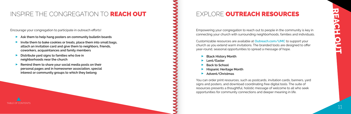#### <span id="page-5-0"></span>INSPIRE THE CONGREGATION TO REACH OUT

Encourage your congregation to participate in outreach efforts!<br>Ask them to help hang posters on community bulletin

- **Ask them to help hang posters on community bulletin boards** P<br>P
- **Invite them to bake cookies or treats, place them into small bags, attach an invitation card and give them to neighbors, friends, coworkers, acquaintances and family members**  $\overline{\phantom{a}}$
- **Distribute yard signs to families who live in neighborhoods near the church**
- $\overline{\phantom{a}}$  **Remind them to share your social media posts on their personal pages and in homeowner association, special interest or community groups to which they belong**
- → Black History Month<br>► Elack History Month
- **Lent/Easter**<br>Back to Sche
- ▶ Back to School
- ► Back to School<br>► Hispanic Heritage Month<br>► Advent/Christmas
- **Advent/Christmas**

Empowering your congregation to reach out to people in the community is key in connecting your church with surrounding neighborhoods, families and individuals.

Customizable resources are available at **[Outreach.com/UMC](http://Outreach.com/UMC)** to support your church as you extend warm invitations. The branded tools are designed to offer year-round, seasonal opportunities to spread a message of hope.

You can order print resources, such as postcards, invitation cards, banners, yard signs and posters, and download coordinating free digital tools. The suite of resources presents a thoughtful, holistic message of welcome to all who seek opportunities for community connections and deeper meaning in life.

#### EXPLORE OUTREACH RESOURCES

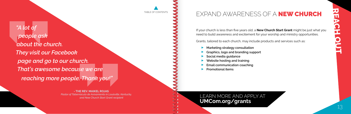<span id="page-6-0"></span>*"A lot of people ask about the church. They visit our Facebook page and go to our church. That's awesome because we are reaching more people. Thank you!"*

> **- THE REV. MAIKEL ROJAS** *Pastor of Tabernáculo de Avivamiento in Louisville, Kentucky, and New Church Start Grant recipient*

If your church is less than five years old, a **New Church Start Grant** might be just what you need to build awareness and excitement for your worship and ministry opportunities.

Grants, tailored to each church, may include products and services such as:

- **Examples to each charch, may filer**<br> **Marketing strategy consultation**<br>
Graphics. logo and branding surf
- ▶ Graphics, logo and branding support<br>▶ Social media quidance
- **Social media guidance** P<br>P
- **Website hosting and training** P<br>P
- **Email communication coaching**
- **Email communical**<br>**Promotional items**

# EXPAND AWARENESS OF A NEW CHURCH

#### LEARN MORE AND APPLY AT **[UMCom.org/grants](http://UMCom.org/grants)**

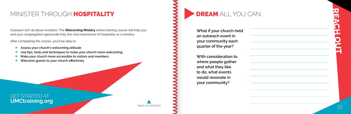# **REACH OUT**



**What if your church held an outreach event in your community each quarter of the year?** 

**With consideration to where people gather and what they like to do, what events would resonate in your community?** 

# DREAM ALL YOU CAN

Outreach isn't all about invitation. The **[Welcoming Ministry](https://www.umctraining.org/product?catalog=Welcoming-Ministry)** online training course will help you and your congregation appreciate fully the vital importance of hospitality as a ministry.

After completing the course, you'll be able to:<br>Assess vour church's welcoming attitu

- **Assess your church's welcoming attitude** P<br>P
- **Use tips, tools and techniques to make your church more welcoming** P<br>P
- **Make your church more accessible to visitors and members** P<br>P
- **Welcome guests to your church effectively**

# <span id="page-7-0"></span>MINISTER THROUGH HOSPITALITY

GET STARTED AT **[UMCtraining.org](http://UMCtraining.org)**

[TABLE OF CONTENTS](#page-1-0) **15**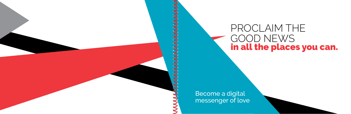# PROCLAIM THE GOOD NEWS in all the places you can.



Become a digital messenger of love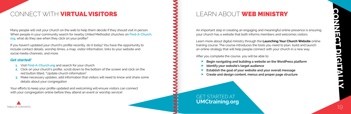

Many people will visit your church on the web to help them decide if they should visit in person. When people in your community search for nearby United Methodist churches on **[Find-A-Church.](http://Find-A-Church.org) [org](http://Find-A-Church.org)**, what do they see when they click on your profile?

If you haven't updated your church's profile recently, do it today! You have the opportunity to include contact details, worship times, a map, visitor information, links to your website and social media channels, and more.

#### *Get started!*

- **1.** Visit **[Find-A-Church.org](http://Find-A-Church.org)** and search for your church
- **2.** Click on your church's profile, scroll down to the bottom of the screen and click on the red button titled, "Update church information"
- **3.** Make necessary updates, add information that visitors will need to know and share some details about your congregation

#### GET STARTED AT **[UMCtraining.org](http://UMCtraining.org)** [TABLE OF CONTENTS](#page-1-0) 19



er you complete the course, you will be able to:<br>▶ Begin navigating and building a website on the WordPress platform<br>▶ Identify your website's target audience

Your efforts to keep your profile updated and welcoming will ensure visitors can connect with your congregation online before they attend an event or worship service!

#### LEARN ABOUT **WEB MINISTRY**

# <span id="page-9-0"></span>CONNECT WITH VIRTUAL VISITORS

An important step in creating an engaging and meaningful online presence is ensuring your church has a website that both informs members and welcomes visitors.

Learn more about digital ministry through the **[Launching Your Church Website](https://www.umctraining.org/product?catalog=Launching-Your-Church-Website)** online training course. The course introduces the tools you need to plan, build and launch an online strategy that will help people connect with your church in a new way.

After you complete the course, you will be able to:

- 
- **IDENT IN STARK IS A LOCAL META**<br> **Lettablish the goal of your website and y**
- **Establish the goal of your website and your overall message** Establish the goal of your website and your overall message<br>
Create and design content, menus and proper page structure
-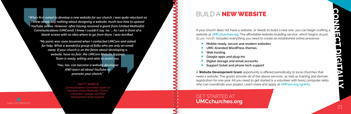<span id="page-10-0"></span>*"When first asked to develop a new website for our church, I was quite reluctant as I knew absolutely nothing about designing a website, much less how to upload YouTube videos. However, after having received a grant from [United Methodist Communications (UMCom)], I knew I couldn't say 'no.' … As I sat in front of a blank screen with no idea where to go from there, I was terrified.* 

If your church does not have a website, or needs to build a new one, you can begin crafting a website at **[UMCchurches.org](http://UMCchurches.org)**. The affordable website-building service, which begins at just *\$5 per month*, includes everything you need to create an established online presence: oer month, includes everything you need to creat<br>▶ **Mobile-ready, secure and modern websites**<br>▶ UMC-branded WordPress themes

*"My panic was soon lessened when I contacted UMCom and asked for help. What a wonderful group of folks who are only an email away. If your church is on the fence about developing a website, have no fear; the UMCom Website Support Team is ready, willing and able to assist you.*

- 
- **► UMC-branded WordPress themes**<br>► Web hosting
- **Web hosting**
- ► Web hosting<br>► Google apps and plug-ins<br>► Digital storage and email a
- **Digital storage and email accounts** Q
- **Support ticket and phone tech support**

*"You, too, can become a website developer AND learn all about YouTube to promote your church."*

> - PATTY SHREVE *Communications Committee leader at Hopewell United Methodist Church in Eatonton, Georgia, and Web Development Grant recipient*

#### GET STARTED AT [TABLE OF CONTENTS](#page-1-0) **UMCChurches.org**



A **[Website Development Grant](http://www.umcom.org/services-products/website-development-grants)** opportunity is offered periodically to local churches that need a website. The grants provide all of the above services, as well as training and domain registration for one year. All you need to get started is a volunteer with basic computer skills who can coordinate your project. Learn more and apply at **[UMCom.org/grants](http://UMCom.org/grants)**.

#### BUILD A NEW WEBSITE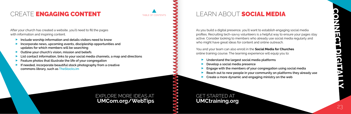# <span id="page-11-0"></span>CREATE ENGAGING CONTENT

After your church has created a website, you'll need to fill the pages with information and inspiring content.<br>**Include worship information ar** 

#### EXPLORE MORE IDEAS AT **[UMCom.org/WebTips](http://UMCom.org/WebTips)**

- **Include worship information and details visitors need to know** P<br>P
- **Incorporate news, upcoming events, discipleship opportunities and updates for which members will be searching**  $\overline{\phantom{a}}$
- **Outline your church's vision, mission and beliefs** P<br>P
- **List contact information, links to your social media channels, a map and directions** P<br>P
- **Feature photos that illustrate the life of your congregation** P<br>P
- **If needed, incorporate beautiful stock photography from a creative commons library, such as [TheStocks.im](http://TheStocks.im)**
- Understand the largest social media platforms<br>■ Understand the largest social media platforms<br>■ Develop a social media presence
- **Develop a social media presence**<br> **Deparate A** Enguage with the members of your
- **Engage with the members of your congregation using social media** V<sub>V</sub>
- V<sub>V</sub>
- **Create a more dynamic and engaging ministry on the web**

As you build a digital presence, you'll want to establish engaging social media profiles. Recruiting tech-savvy volunteers is a helpful way to ensure your pages stay active. Consider looking to members who already use social media regularly and who might have great ideas for content and online outreach.

You and your team can also enroll in the **[Social Media for Churches](https://www.umctraining.org/product?catalog=Social-Media-For-Churches)**  online training course. The learning experience will equip you to:

**Reach out to new people in your community on platforms they already use**

#### LEARN ABOUT SOCIAL MEDIA

GET STARTED AT **[UMCtraining.org](http://UMCtraining.org)**

[TABLE OF CONTENTS](#page-1-0)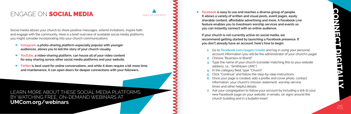Social media allows your church to share positive messages, extend invitations, inspire faith and engage with the community. Here is a brief overview of available social media platforms you might consider incorporating into your church communications:

- **Instruction and Polymer interperating intervention communications.**<br> **[Instagram,](https://www.instagram.com/) a photo-sharing platform especially popular with younger audiences, allows you to tell the story of your church visually.**
- $\overline{\phantom{a}}$  **[YouTube](http://www.YouTube.com/), a video-sharing platform, can house all of your video content for easy sharing across other social media platforms and your website.**
- Q **[Twitter](http://www.Twitter.com/) is best used for online conversations, and while it does require a bit more time and maintenance, it can open doors for deeper connections with your followers.**

►<br>► [Facebook](http://www.Facebook.com/) is easy to use and reaches a diverse group of people. **It allows a variety of written and visual posts, event pages, easily sharable content, affordable advertising and more. A Facebook Live feature enables you to livestream worship services and events so you can instantly connect with an online audience.** 

### <span id="page-12-0"></span>ENGAGE ON SOCIAL MEDIA

LEARN MORE ABOUT THESE SOCIAL MEDIA PLATFORMS BY WATCHING FREE, ON-DEMAND WEBINARS AT **[UMCom.org/webinars](http://UMCom.org/webinars)**

**7.** Ask your congregation to follow your account by including a link to your new Facebook page on your website, in emails, on signs around the

**If your church is not currently active on social media, we recommend getting started by launching a Facebook presence. If you don't already have an account, here's how to begin:** 

**1.** Go to **[Facebook.com/pages/create](http://Facebook.com/pages/create)** and log in using your personal account information (you will be the administrator of your church's page)

**3.** Type the name of your church (consider matching this to your website

- 
- **2.** Choose "Business or Brand"
- address i.e. "Smithtown UMC")
- **4.** In the category field, type "Church"
- **5.** Click "Continue" and follow the step-by-step instructions
- **6.** Once your page is created, add a profile and cover photo, contact information, your church's mission statement, worship service times and other helpful details
- church building and in a bulletin insert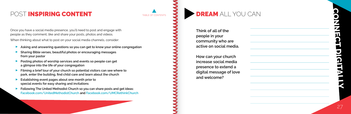# **CONNECT DIGITALLY**

## <span id="page-13-0"></span>POST INSPIRING CONTENT

Once you have a social media presence, you'll need to post and engage with people as they comment, like and share your posts, photos and videos.

When thinking about what to post on your social media channels, consider:<br>Asking and answering questions so you can get to know your onlin

- **Asking and answering questions so you can get to know your online congregation** P<br>P
- **Sharing Bible verses, beautiful photos or encouraging messages from your pastor**  $\overline{\phantom{a}}$
- **Posting photos of worship services and events so people can get a glimpse into the life of your congregation**
- Q **Filming a brief tour of your church so potential visitors can see where to park, enter the building, find child care and learn about the church**  $\overline{\phantom{a}}$
- **Establishing event pages about one month prior to special events for easy sharing and invitations**  $\overline{\phantom{a}}$
- **Following The United Methodist Church so you can share posts and get ideas: [Facebook.com/UnitedMethodistChurch](http://Facebook.com/UnitedMethodistChurch) and [Facebook.com/UMCRethinkChurch](http://Facebook.com/UMCRethinkChurch)**

# [TABLE OF CONTENTS](#page-1-0) **DREAM** ALL YOU CAN

**Think of all of the people in your community who are active on social media.**

**How can your church increase social media presence to extend a digital message of love and welcome?**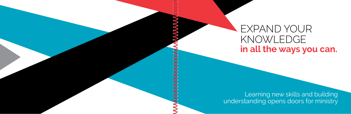# EXPAND YOUR KNOWLEDGE **in all the ways you can.**

Learning new skills and building understanding opens doors for ministry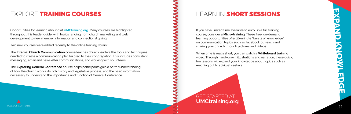**EXPAND KNOWLEDGE**

Opportunities for learning abound at **[UMCtraining.org](http://UMCtraining.org)**. Many courses are highlighted throughout this leader guide, with topics ranging from church marketing and web development to new member information and connectional giving.

Two new courses were added recently to the online training library:

The **[Internal Church Communication](https://www.umctraining.org/product?catalog=Internal-Church-Communication)** course teaches church leaders the tools and techniques needed to create a communication plan tailored to their congregation. This includes consistent messaging, email and newsletter communications, and working with volunteers.

The **Exploring General Conference** course helps participants gain a better understanding of how the church works, its rich history and legislative process, and the basic information necessary to understand the importance and function of General Conference.

LEARN IN SHORT SESSIONS

## <span id="page-15-0"></span>EXPLORE TRAINING COURSES

If you have limited time available to enroll in a full training course, consider a **[Micro-training](https://www.umctraining.org/catalog?pagename=Micro-Training)**. These free, on-demand learning opportunities offer 20-minute "bursts of knowledge" on communication topics such as Facebook outreach and sharing your church through pictures and videos.

When time is really short, you can watch a **[Whiteboard training](https://www.umctraining.org/product?catalog=White-Board-Series)**  video. Through hand-drawn illustrations and narration, these quick, fun lessons will expand your knowledge about topics such as reaching out to spiritual seekers.



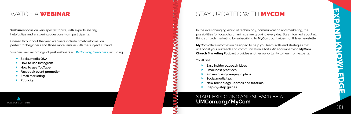**Webinars** focus on very specific topics, with experts sharing helpful tips and answering questions from participants.

Offered throughout the year, webinars include timely information perfect for beginners and those more familiar with the subject at hand.

You can view recordings of past webinars at **[UMCom.org/webinars](http://UMCom.org/webinars)**, including: Q

- **Social media Q&A** P<br>P
- **How to use Instagram** P<br>P
- **How to use YouTube** P<br>P
- **Facebook event promotion** P<br>P
- **Email marketing** P<br>P
- **Publicity**

#### <span id="page-16-0"></span>WATCH A WEBINAR

In the ever-changing world of technology, communication and marketing, the possibilities for local church ministry are growing every day. Stay informed about all things church marketing by subscribing to **[MyCom](http://www.umcom.org/news/mycom-tips-enewsletter)**, our twice-monthly e-newsletter.

**[MyCom](http://www.umcom.org/news/mycom-tips-enewsletter)** offers information designed to help you learn skills and strategies that will boost your outreach and communication efforts. An accompanying **[MyCom](http://www.umcom.org/topics/mycom-church-marketing-podcast)  [Church Marketing Podcast](http://www.umcom.org/topics/mycom-church-marketing-podcast)** provides another opportunity to hear from experts.

# You'll find:<br>**Ea:**

- **Easy insider outreach ideas**  $\blacktriangledown$
- **Email best practices**  $\blacktriangledown$
- **Proven giving campaign plans**
- **Social media tips**<br>
Social media tips<br>
New technology
- **New technology updates and tutorials** V<sub>V</sub>
- **Step-by-step guides**

START EXPLORING AND SUBSCRIBE AT





#### STAY UPDATED WITH **MYCOM**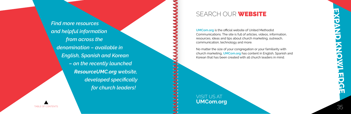<span id="page-17-0"></span>*Find more resources and helpful information from across the denomination – available in English, Spanish and Korean – on the recently launched ResourceUMC.org website, developed specifically for church leaders!*

#### SEARCH OUR **WEBSITE**

**[UMCom.org](http://UMCom.org)** is the official website of United Methodist Communications. The site is full of articles, videos, information, resources, ideas and tips about church marketing, outreach, communication, technology and more.

No matter the size of your congregation or your familiarity with church marketing, **[UMCom.org](http://UMCom.org)** has content in English, Spanish and Korean that has been created with all church leaders in mind.

VISIT US AT **[UMCom.org](http://UMCom.org)**

[TABLE OF CONTENTS](#page-1-0) STATES AND THE SERVICE OF CONTENTS AND THE SERVICE OF CONTENTS STATES OF CONTENTS STATES OF CONTENTS STATES AND THE SERVICE OF CONTENTS STATES OF CONTENTS OF CONTENTS OF CONTENTS OF CONTENTS OF CONTENTS O

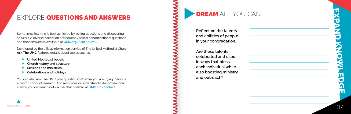# **EXPAND KNOWLEDGE**

Developed by the official information service of The United Methodist Church, [Ask The UMC](http://UMC.org/AskTheUMC) features details about topics such as:

- **Let United Methodist beliefs**
- **Church history and structure<br>Missions and ministries**
- 
- **Missions and ministries**<br>**Celebrations and holidays**

Sometimes learning is best achieved by asking questions and discovering answers. A diverse collection of frequently asked denominational questions and their answers is available at **[UMC.org/AskTheUMC](http://UMC.org/AskTheUMC)**.

You can also Ask The UMC your questions! Whether you are trying to locate a pastor, conduct research, find resources or understand a denominational stance, you can reach out via live chat or email at **[UMC.org/contact](http://UMC.org/contact)** .

# <span id="page-18-0"></span>EXPLORE QUESTIONS AND ANSWERS



**and abilities of people in your congregation.**

**Are these talents celebrated and used in ways that bless each individual while also boosting ministry and outreach?**

DREAM ALL YOU CAN

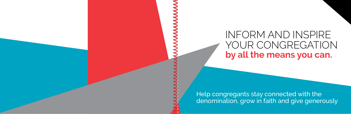Help congregants stay connected with the denomination, grow in faith and give generously

# INFORM AND INSPIRE YOUR CONGREGATION **by all the means you can.**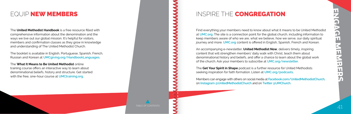The **[United Methodist Handbook](http://www.umcgiving.org/resource-articles/2017-2020-united-methodist-handbook-versions)** is a free resource filled with comprehensive information about the denomination and the ways we live out our global mission. It's helpful for visitors, members and confirmation classes as they grow in knowledge and understanding of The United Methodist Church.

The booklet is available in English, Portuguese, Spanish, French, Russian and Korean at **[UMCgiving.org/HandbookLanguages](http://UMCgiving.org/HandbookLanguages)**.

The **[What It Means to Be United Methodist](https://www.umctraining.org/product?catalog=What-It-Means-to-be-United-Methodist)** online training course offers an interactive way to learn about denominational beliefs, history and structure. Get started with the free, one-hour course at **[UMCtraining.org](http://UMCtraining.org)**.

[TABLE OF CONTENTS](#page-1-0)  $41$ 

#### INSPIRE THE **CONGREGATION**

#### <span id="page-20-0"></span>EQUIP NEW MEMBERS

Find everything your members need to know about what it means to be United Methodist at **[UMC.org](http://UMC.org)**. The site is a connection point for the global church, including information to keep members aware of who we are, what we believe, how we serve, our daily spiritual journey and more. **[UMC.org](http://UMC.org)** content is offered in English, Spanish, French and Korean.

An accompanying e-newsletter, **[United Methodist Now](http://UMC.org/newsletter)**, delivers timely, inspiring content that will strengthen members' daily walk with Christ, teach them about denominational history and beliefs, and offer a chance to learn about the global work of the church. Ask your members to subscribe at **[UMC.org/newsletter](http://UMC.org/newsletter)**.

The **[Get Your Spirit in Shape](http://www.umc.org/what-we-believe/get-your-spirit-in-shape)** podcast is a further resource for United Methodists seeking inspiration for faith formation. Listen at **[UMC.org/podcasts](http://UMC.org/podcasts)**.

Members can engage with others on social media at **[Facebook.com/UnitedMethodistChurch](http://Facebook.com/UnitedMethodistChurch)**, on **[Instagram @UnitedMethodistChurch](https://www.instagram.com/unitedmethodistchurch/?hl=en)** and on **[Twitter @UMChurch](https://twitter.com/umchurch)**.

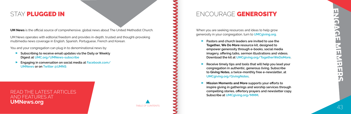**UM News** is the official source of comprehensive, global news about The United Methodist Church.

UM News operates with editorial freedom and provides in-depth, trusted and thought-provoking multimedia news coverage in English, Spanish, Portuguese, French and Korean.

You and your congregation can plug in to denominational news by:<br>Subscribing to receive email updates via the Daily or Week

- **Subscribing to receive email updates via the Daily or Weekly Digest at [UMC.org/UMNews-subscribe](http://UMC.org/UMNews-subscribe)**
- $\overline{\phantom{a}}$  **Engaging in conversation on social media at [Facebook.com/](http://Facebook.com/UMNews) [UMNews](http://Facebook.com/UMNews) or on [Twitter @UMNS](https://twitter.com/UMNS?ref_src=twsrc%5Egoogle%7Ctwcamp%5Eserp%7Ctwgr%5Eauthor)**

#### <span id="page-21-0"></span>STAY PLUGGED IN

READ THE LATEST ARTICLES AND FEATURES AT **[UMNews.org](http://UMNews.org)**

When you are seeking resources and ideas to help grow generosity in your congregation, turn to **[UMCgiving.org](http://UMCgiving.org)**.

- Q **Pastors and church leaders are invited to use the Together, We Do More resource kit, designed to empower generosity through e-books, social media imagery, offering talks, sermon illustrations and videos. Download the kit at [UMCgiving.org/TogetherWeDoMore](http://UMCgiving.org/TogetherWeDoMore).**
- Q **Receive timely tips and tools that will help you lead your congregation in authentic, generous living. Subscribe to Giving Notes, a twice-monthly free e-newsletter, at [UMCgiving.org/GivingNotes](http://UMCgiving.org/GivingNotes).**
- Q **Mission Moments and More supports your efforts to inspire giving in gatherings and worship services through compelling stories, offertory prayers and newsletter copy. Subscribe at [UMCgiving.org/MMM.](http://UMCgiving.org/MMM)**





#### ENCOURAGE GENEROSITY

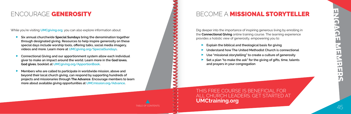- **Six annual churchwide Special Sundays bring the denomination together through designated giving. Resources to help inspire generosity on these special days include worship tools, offering talks, social media imagery, videos and more. Learn more at [UMCgiving.org/SpecialSundays](http://UMCgiving.org/SpecialSundays).**
- $\overline{\phantom{a}}$  **Connectional Giving and our apportionment system allow each individual giver to make an impact around the world. Learn more in the God loves. God gives. booklet at [UMCgiving.org/ApportionBook](http://UMCgiving.org/ApportionBook).**
- $\blacktriangleright$  . **Members who are called to participate in worldwide mission, above and beyond their local church giving, can respond by supporting hundreds of projects and missionaries through The Advance. Encourage members to learn more about available giving opportunities at [UMCmission.org/Advance](http://UMCmission.org/Advance).**

[TABLE OF CONTENTS](#page-1-0) AND RESERVE THE SERVER OF CONTENTS AND THE SERVER OF CONTENTS AND LOCAL CONTENTS AND LOCAL CONTENTS AND LOCAL CONTENTS AND LOCAL CONTENTS AND LOCAL CONTENTS AND LOCAL CONTENTS AND LOCAL CONTENTS OF A CONT

- **Explain the biblical and theological basis for giving<br>
Q Understand how The United Methodist Church is computed by The United Methodist Church is computed by The United Methodist Church is computed by The United Methodist**
- **Understand how The United Methodist Church is connectional**
- 
- **Set a plan "to make the ask" for the giving of gifts, time, talents and prayers in your congregation**

#### <span id="page-22-0"></span>ENCOURAGE GENEROSITY

While you're visiting **[UMCgiving.org](http://UMCgiving.org)**, you can also explore information about:<br>Six annual churchwide Special Sundavs bring the denomination togo

Dig deeper into the importance of inspiring generous living by enrolling in the **[Connectional Giving](https://www.umctraining.org/product?catalog=Connectional-Giving)** online training course. The learning experience provides a holistic view of generosity, empowering you to:

# BECOME A MISSIONAL STORYTELLER

THIS FREE COURSE IS BENEFICIAL FOR ALL CHURCH LEADERS. GET STARTED AT **[UMCtraining.org](http://UMCtraining.org)**

● Understand how The United Methodist Church is connection<br>● Use "missional storytelling" to create a culture of generosity<br>● Set a plan "to make the ask" for the giving of gifts, time, tale

**ENGAGE MEMBERS**  $\frac{1}{5}$ Щ

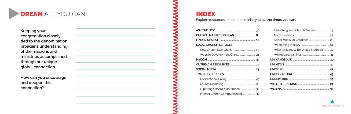**Keeping your congregation closely tied to the denomination broadens understanding of the missions and ministries accomplished through our unique global connection.** 

**How can you encourage and deepen this connection?**

# DREAM ALL YOU CAN

| <b>LOCAL CHURCH SERVICES</b> |  |
|------------------------------|--|
|                              |  |
|                              |  |
|                              |  |
|                              |  |
|                              |  |
| <b>TRAINING COURSES</b>      |  |
|                              |  |
|                              |  |
|                              |  |
|                              |  |

| ճ |                                          |
|---|------------------------------------------|
|   |                                          |
|   |                                          |
|   |                                          |
|   | What It Means to Be United Methodist  40 |
|   |                                          |
| 3 |                                          |
|   |                                          |
| 3 |                                          |
|   |                                          |
| 5 |                                          |
|   |                                          |
|   |                                          |
| n |                                          |

#### INDEX

Explore resources to enhance ministry **at all the times you can.**